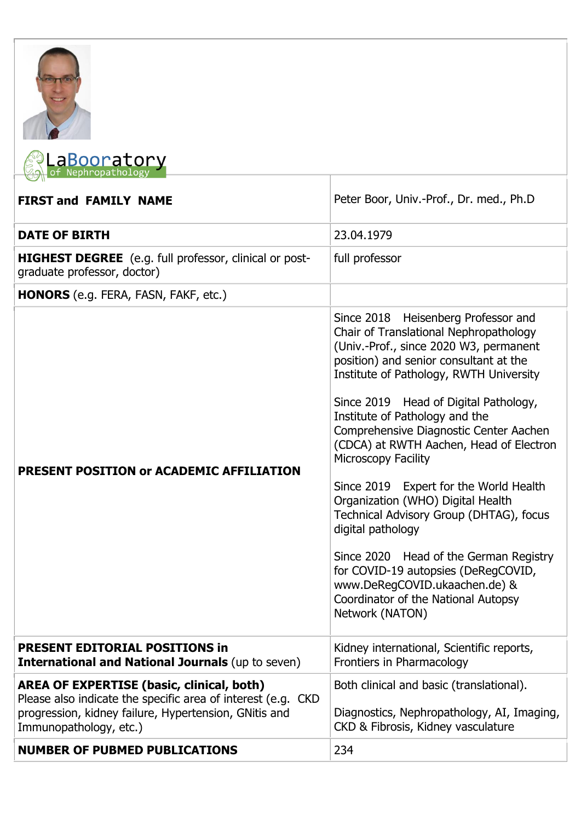



| <b>FIRST and FAMILY NAME</b>                                                                                                                                                                        | Peter Boor, Univ.-Prof., Dr. med., Ph.D                                                                                                                                                                                                                                                                                                                                                                                                                                                                                                                                                                                                                                                                                        |
|-----------------------------------------------------------------------------------------------------------------------------------------------------------------------------------------------------|--------------------------------------------------------------------------------------------------------------------------------------------------------------------------------------------------------------------------------------------------------------------------------------------------------------------------------------------------------------------------------------------------------------------------------------------------------------------------------------------------------------------------------------------------------------------------------------------------------------------------------------------------------------------------------------------------------------------------------|
| <b>DATE OF BIRTH</b>                                                                                                                                                                                | 23.04.1979                                                                                                                                                                                                                                                                                                                                                                                                                                                                                                                                                                                                                                                                                                                     |
| HIGHEST DEGREE (e.g. full professor, clinical or post-<br>graduate professor, doctor)                                                                                                               | full professor                                                                                                                                                                                                                                                                                                                                                                                                                                                                                                                                                                                                                                                                                                                 |
| HONORS (e.g. FERA, FASN, FAKF, etc.)                                                                                                                                                                |                                                                                                                                                                                                                                                                                                                                                                                                                                                                                                                                                                                                                                                                                                                                |
| PRESENT POSITION or ACADEMIC AFFILIATION                                                                                                                                                            | Since 2018 Heisenberg Professor and<br>Chair of Translational Nephropathology<br>(Univ.-Prof., since 2020 W3, permanent<br>position) and senior consultant at the<br>Institute of Pathology, RWTH University<br>Since 2019 Head of Digital Pathology,<br>Institute of Pathology and the<br>Comprehensive Diagnostic Center Aachen<br>(CDCA) at RWTH Aachen, Head of Electron<br>Microscopy Facility<br>Since 2019 Expert for the World Health<br>Organization (WHO) Digital Health<br>Technical Advisory Group (DHTAG), focus<br>digital pathology<br>Since 2020 Head of the German Registry<br>for COVID-19 autopsies (DeRegCOVID,<br>www.DeRegCOVID.ukaachen.de) &<br>Coordinator of the National Autopsy<br>Network (NATON) |
| <b>PRESENT EDITORIAL POSITIONS in</b><br><b>International and National Journals (up to seven)</b>                                                                                                   | Kidney international, Scientific reports,<br>Frontiers in Pharmacology                                                                                                                                                                                                                                                                                                                                                                                                                                                                                                                                                                                                                                                         |
| <b>AREA OF EXPERTISE (basic, clinical, both)</b><br>Please also indicate the specific area of interest (e.g. CKD<br>progression, kidney failure, Hypertension, GNitis and<br>Immunopathology, etc.) | Both clinical and basic (translational).<br>Diagnostics, Nephropathology, AI, Imaging,<br>CKD & Fibrosis, Kidney vasculature                                                                                                                                                                                                                                                                                                                                                                                                                                                                                                                                                                                                   |
| <b>NUMBER OF PUBMED PUBLICATIONS</b>                                                                                                                                                                | 234                                                                                                                                                                                                                                                                                                                                                                                                                                                                                                                                                                                                                                                                                                                            |

ı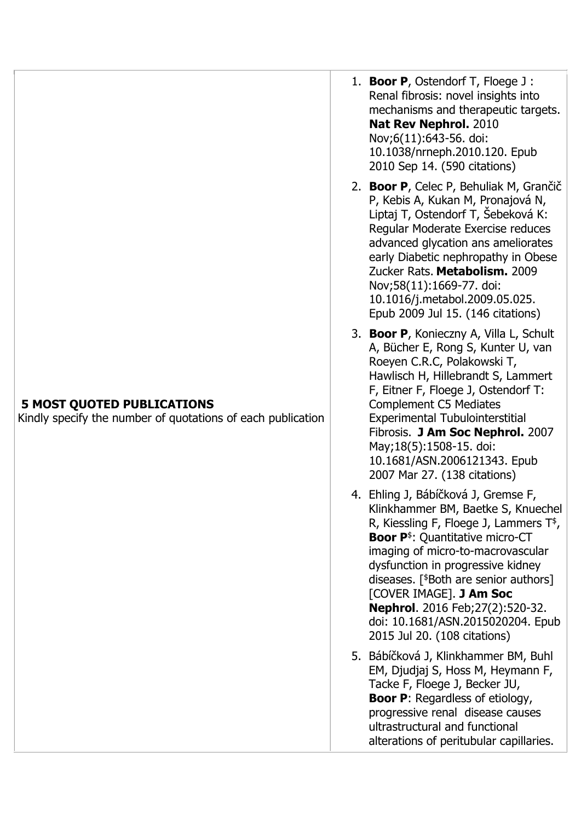## **5 MOST QUOTED PUBLICATIONS**

Kindly specify the number of quotations of each publication

- 1. **Boor P**, Ostendorf T, Floege J : Renal fibrosis: novel insights into mechanisms and therapeutic targets. **Nat Rev Nephrol.** 2010 Nov;6(11):643-56. doi: 10.1038/nrneph.2010.120. Epub 2010 Sep 14. (590 citations)
- 2. **Boor P**, Celec P, Behuliak M, Grančič P, Kebis A, Kukan M, Pronajová N, Liptaj T, Ostendorf T, Šebeková K: Regular Moderate Exercise reduces advanced glycation ans ameliorates early Diabetic nephropathy in Obese Zucker Rats. **Metabolism.** 2009 Nov;58(11):1669-77. doi: 10.1016/j.metabol.2009.05.025. Epub 2009 Jul 15. (146 citations)
- 3. **Boor P**, Konieczny A, Villa L, Schult A, Bücher E, Rong S, Kunter U, van Roeyen C.R.C, Polakowski T, Hawlisch H, Hillebrandt S, Lammert F, Eitner F, Floege J, Ostendorf T: Complement C5 Mediates Experimental Tubulointerstitial Fibrosis. **J Am Soc Nephrol.** 2007 May;18(5):1508-15. doi: 10.1681/ASN.2006121343. Epub 2007 Mar 27. (138 citations)
- 4. Ehling J, Bábíčková J, Gremse F, Klinkhammer BM, Baetke S, Knuechel R, Kiessling F, Floege J, Lammers  $T^*$ , **Boor P**<sup>\$</sup>: Quantitative micro-CT imaging of micro-to-macrovascular dysfunction in progressive kidney diseases. [<sup>\$</sup>Both are senior authors] [COVER IMAGE]. **J Am Soc Nephrol**. 2016 Feb;27(2):520-32. doi: 10.1681/ASN.2015020204. Epub 2015 Jul 20. (108 citations)
- 5. Bábíčková J, Klinkhammer BM, Buhl EM, Djudjaj S, Hoss M, Heymann F, Tacke F, Floege J, Becker JU, **Boor P**: Regardless of etiology, progressive renal disease causes ultrastructural and functional alterations of peritubular capillaries.